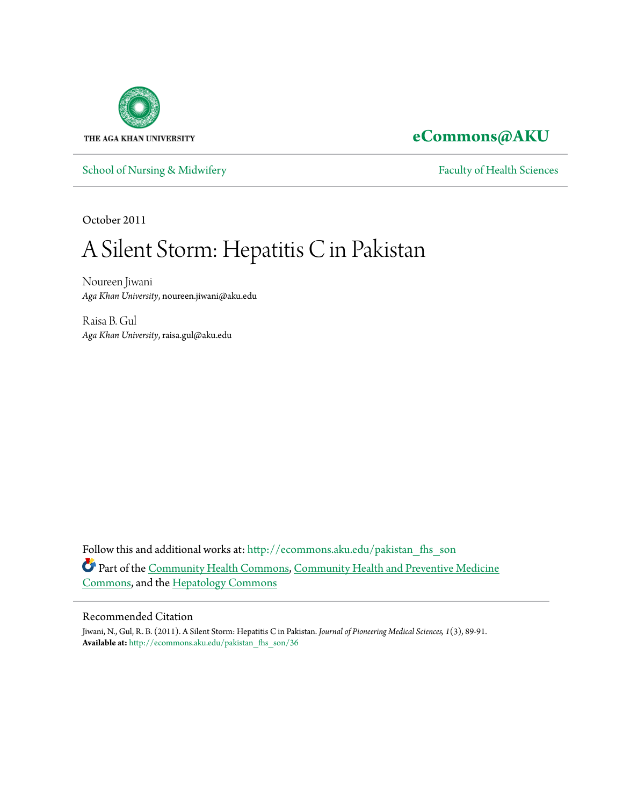

## **[eCommons@AKU](http://ecommons.aku.edu?utm_source=ecommons.aku.edu%2Fpakistan_fhs_son%2F36&utm_medium=PDF&utm_campaign=PDFCoverPages)**

[School of Nursing & Midwifery](http://ecommons.aku.edu/pakistan_fhs_son?utm_source=ecommons.aku.edu%2Fpakistan_fhs_son%2F36&utm_medium=PDF&utm_campaign=PDFCoverPages) [Faculty of Health Sciences](http://ecommons.aku.edu/pakistan_fhs?utm_source=ecommons.aku.edu%2Fpakistan_fhs_son%2F36&utm_medium=PDF&utm_campaign=PDFCoverPages)

October 2011

# A Silent Storm: Hepatitis C in Pakistan

Noureen Jiwani *Aga Khan University*, noureen.jiwani@aku.edu

Raisa B. Gul *Aga Khan University*, raisa.gul@aku.edu

Follow this and additional works at: [http://ecommons.aku.edu/pakistan\\_fhs\\_son](http://ecommons.aku.edu/pakistan_fhs_son?utm_source=ecommons.aku.edu%2Fpakistan_fhs_son%2F36&utm_medium=PDF&utm_campaign=PDFCoverPages) Part of the [Community Health Commons](http://network.bepress.com/hgg/discipline/714?utm_source=ecommons.aku.edu%2Fpakistan_fhs_son%2F36&utm_medium=PDF&utm_campaign=PDFCoverPages), [Community Health and Preventive Medicine](http://network.bepress.com/hgg/discipline/744?utm_source=ecommons.aku.edu%2Fpakistan_fhs_son%2F36&utm_medium=PDF&utm_campaign=PDFCoverPages) [Commons,](http://network.bepress.com/hgg/discipline/744?utm_source=ecommons.aku.edu%2Fpakistan_fhs_son%2F36&utm_medium=PDF&utm_campaign=PDFCoverPages) and the [Hepatology Commons](http://network.bepress.com/hgg/discipline/1060?utm_source=ecommons.aku.edu%2Fpakistan_fhs_son%2F36&utm_medium=PDF&utm_campaign=PDFCoverPages)

#### Recommended Citation

Jiwani, N., Gul, R. B. (2011). A Silent Storm: Hepatitis C in Pakistan. *Journal of Pioneering Medical Sciences, 1*(3), 89-91. **Available at:** [http://ecommons.aku.edu/pakistan\\_fhs\\_son/36](http://ecommons.aku.edu/pakistan_fhs_son/36)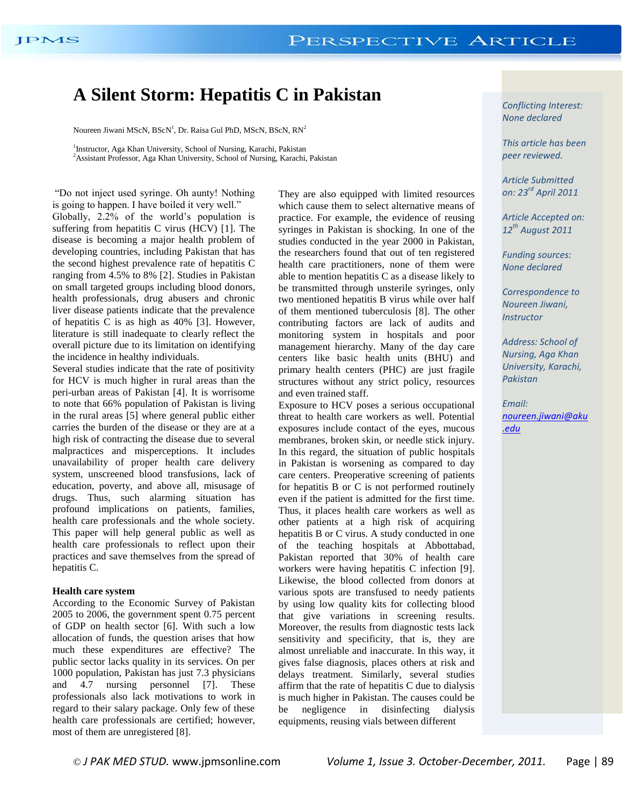### **A Silent Storm: Hepatitis C in Pakistan**

Noureen Jiwani MScN,  $BScN<sup>1</sup>$ , Dr. Raisa Gul PhD, MScN,  $BScN$ ,  $RN<sup>2</sup>$ 

<sup>1</sup>Instructor, Aga Khan University, School of Nursing, Karachi, Pakistan <sup>2</sup> Assistant Professor, Aga Khan University, School of Nursing, Karachi, Pakistan

"Do not inject used syringe. Oh aunty! Nothing is going to happen. I have boiled it very well." Globally, 2.2% of the world's population is suffering from hepatitis C virus (HCV) [1]. The disease is becoming a major health problem of developing countries, including Pakistan that has the second highest prevalence rate of hepatitis C ranging from 4.5% to 8% [2]. Studies in Pakistan on small targeted groups including blood donors, health professionals, drug abusers and chronic liver disease patients indicate that the prevalence of hepatitis C is as high as 40% [3]. However, literature is still inadequate to clearly reflect the overall picture due to its limitation on identifying the incidence in healthy individuals.

Several studies indicate that the rate of positivity for HCV is much higher in rural areas than the peri-urban areas of Pakistan [4]. It is worrisome to note that 66% population of Pakistan is living in the rural areas [5] where general public either carries the burden of the disease or they are at a high risk of contracting the disease due to several malpractices and misperceptions. It includes unavailability of proper health care delivery system, unscreened blood transfusions, lack of education, poverty, and above all, misusage of drugs. Thus, such alarming situation has profound implications on patients, families, health care professionals and the whole society. This paper will help general public as well as health care professionals to reflect upon their practices and save themselves from the spread of hepatitis C.

#### **Health care system**

According to the Economic Survey of Pakistan 2005 to 2006, the government spent 0.75 percent of GDP on health sector [6]. With such a low allocation of funds, the question arises that how much these expenditures are effective? The public sector lacks quality in its services. On per 1000 population, Pakistan has just 7.3 physicians and 4.7 nursing personnel [7]. These professionals also lack motivations to work in regard to their salary package. Only few of these health care professionals are certified; however, most of them are unregistered [8].

They are also equipped with limited resources which cause them to select alternative means of practice. For example, the evidence of reusing syringes in Pakistan is shocking. In one of the studies conducted in the year 2000 in Pakistan, the researchers found that out of ten registered health care practitioners, none of them were able to mention hepatitis C as a disease likely to be transmitted through unsterile syringes, only two mentioned hepatitis B virus while over half of them mentioned tuberculosis [8]. The other contributing factors are lack of audits and monitoring system in hospitals and poor management hierarchy. Many of the day care centers like basic health units (BHU) and primary health centers (PHC) are just fragile structures without any strict policy, resources and even trained staff.

Exposure to HCV poses a serious occupational threat to health care workers as well. Potential exposures include contact of the eyes, mucous membranes, broken skin, or needle stick injury. In this regard, the situation of public hospitals in Pakistan is worsening as compared to day care centers. Preoperative screening of patients for hepatitis B or C is not performed routinely even if the patient is admitted for the first time. Thus, it places health care workers as well as other patients at a high risk of acquiring hepatitis B or C virus. A study conducted in one of the teaching hospitals at Abbottabad, Pakistan reported that 30% of health care workers were having hepatitis C infection [9]. Likewise, the blood collected from donors at various spots are transfused to needy patients by using low quality kits for collecting blood that give variations in screening results. Moreover, the results from diagnostic tests lack sensitivity and specificity, that is, they are almost unreliable and inaccurate. In this way, it gives false diagnosis, places others at risk and delays treatment. Similarly, several studies affirm that the rate of hepatitis C due to dialysis is much higher in Pakistan. The causes could be be negligence in disinfecting dialysis equipments, reusing vials between different

*Conflicting Interest: None declared*

*This article has been peer reviewed.*

*Article Submitted on: 23rd April 2011*

*Article Accepted on: 12th August 2011*

*Funding sources: None declared*

*Correspondence to Noureen Jiwani, Instructor*

*Address: School of Nursing, Aga Khan University, Karachi, Pakistan* 

*Email: [noureen.jiwani@aku](mailto:noureen.jiwani@aku.edu) [.edu](mailto:noureen.jiwani@aku.edu)*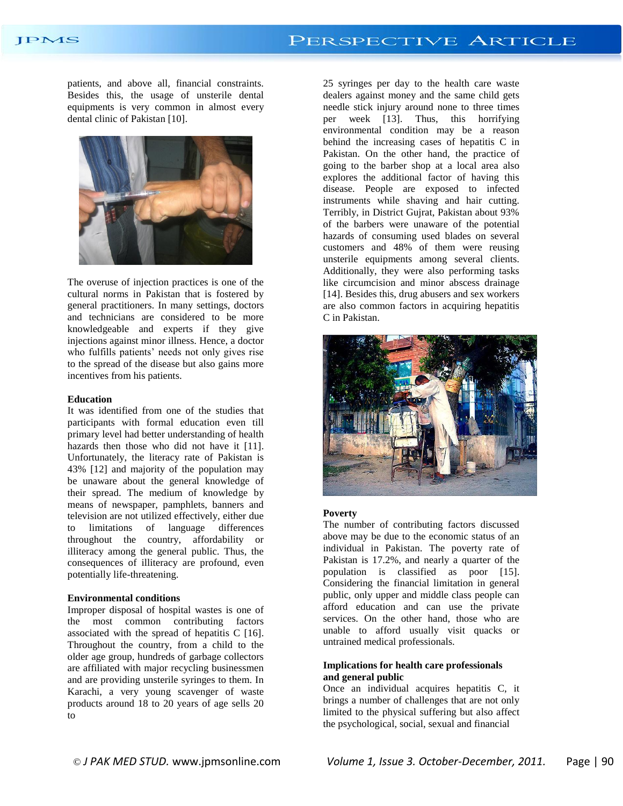#### JPMS

patients, and above all, financial constraints. Besides this, the usage of unsterile dental equipments is very common in almost every dental clinic of Pakistan [10].



The overuse of injection practices is one of the cultural norms in Pakistan that is fostered by general practitioners. In many settings, doctors and technicians are considered to be more knowledgeable and experts if they give injections against minor illness. Hence, a doctor who fulfills patients' needs not only gives rise to the spread of the disease but also gains more incentives from his patients.

#### **Education**

It was identified from one of the studies that participants with formal education even till primary level had better understanding of health hazards then those who did not have it [11]. Unfortunately, the literacy rate of Pakistan is 43% [12] and majority of the population may be unaware about the general knowledge of their spread. The medium of knowledge by means of newspaper, pamphlets, banners and television are not utilized effectively, either due to limitations of language differences throughout the country, affordability or illiteracy among the general public. Thus, the consequences of illiteracy are profound, even potentially life-threatening.

#### **Environmental conditions**

Improper disposal of hospital wastes is one of the most common contributing factors associated with the spread of hepatitis C [16]. Throughout the country, from a child to the older age group, hundreds of garbage collectors are affiliated with major recycling businessmen and are providing unsterile syringes to them. In Karachi, a very young scavenger of waste products around 18 to 20 years of age sells 20 to

25 syringes per day to the health care waste dealers against money and the same child gets needle stick injury around none to three times per week [13]. Thus, this horrifying environmental condition may be a reason behind the increasing cases of hepatitis C in Pakistan. On the other hand, the practice of going to the barber shop at a local area also explores the additional factor of having this disease. People are exposed to infected instruments while shaving and hair cutting. Terribly, in District Gujrat, Pakistan about 93% of the barbers were unaware of the potential hazards of consuming used blades on several customers and 48% of them were reusing unsterile equipments among several clients. Additionally, they were also performing tasks like circumcision and minor abscess drainage [14]. Besides this, drug abusers and sex workers are also common factors in acquiring hepatitis C in Pakistan.



#### **Poverty**

The number of contributing factors discussed above may be due to the economic status of an individual in Pakistan. The poverty rate of Pakistan is 17.2%, and nearly a quarter of the population is classified as poor [15]. Considering the financial limitation in general public, only upper and middle class people can afford education and can use the private services. On the other hand, those who are unable to afford usually visit quacks or untrained medical professionals.

#### **Implications for health care professionals and general public**

Once an individual acquires hepatitis C, it brings a number of challenges that are not only limited to the physical suffering but also affect the psychological, social, sexual and financial